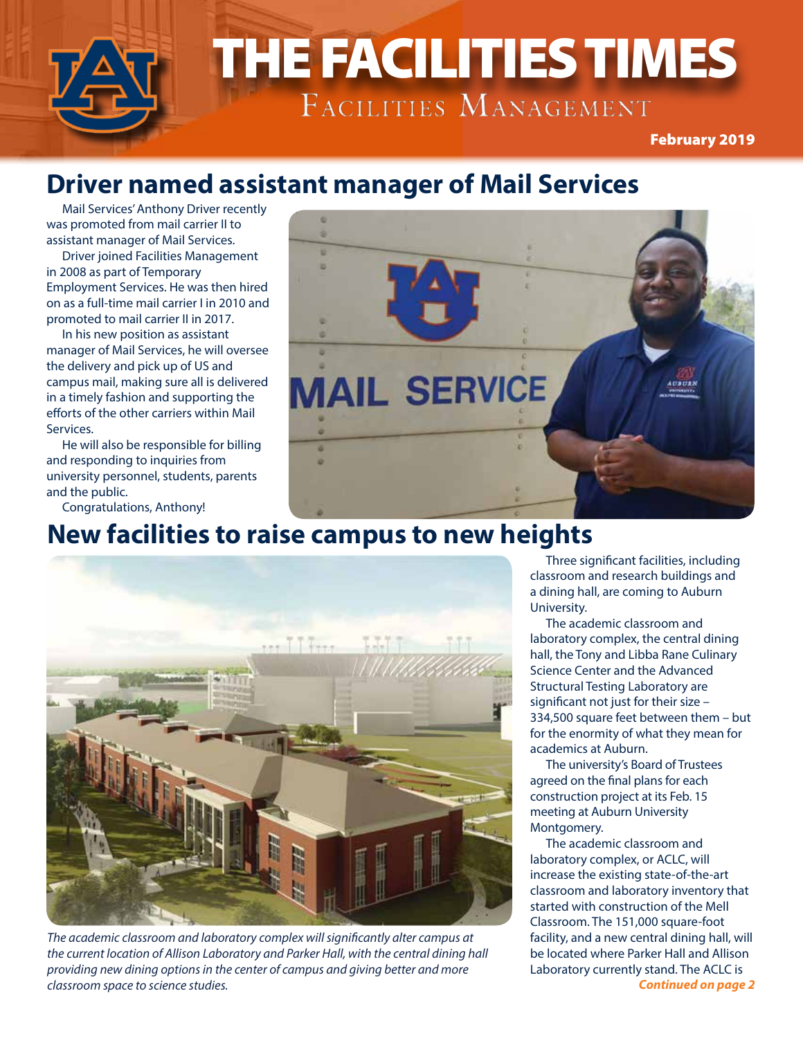

### **Driver named assistant manager of Mail Services**

Mail Services' Anthony Driver recently was promoted from mail carrier II to assistant manager of Mail Services.

Driver joined Facilities Management in 2008 as part of Temporary Employment Services. He was then hired on as a full-time mail carrier I in 2010 and promoted to mail carrier II in 2017.

In his new position as assistant manager of Mail Services, he will oversee the delivery and pick up of US and campus mail, making sure all is delivered in a timely fashion and supporting the efforts of the other carriers within Mail Services.

He will also be responsible for billing and responding to inquiries from university personnel, students, parents and the public.

Congratulations, Anthony!

#### **New facilities to raise campus to new heights**



*The academic classroom and laboratory complex will significantly alter campus at the current location of Allison Laboratory and Parker Hall, with the central dining hall providing new dining options in the center of campus and giving better and more classroom space to science studies.*

Three significant facilities, including classroom and research buildings and a dining hall, are coming to Auburn University.

The academic classroom and laboratory complex, the central dining hall, the Tony and Libba Rane Culinary Science Center and the Advanced Structural Testing Laboratory are significant not just for their size – 334,500 square feet between them – but for the enormity of what they mean for academics at Auburn.

The university's Board of Trustees agreed on the final plans for each construction project at its Feb. 15 meeting at Auburn University Montgomery.

The academic classroom and laboratory complex, or ACLC, will increase the existing state-of-the-art classroom and laboratory inventory that started with construction of the Mell Classroom. The 151,000 square-foot facility, and a new central dining hall, will be located where Parker Hall and Allison Laboratory currently stand. The ACLC is *Continued on page 2*

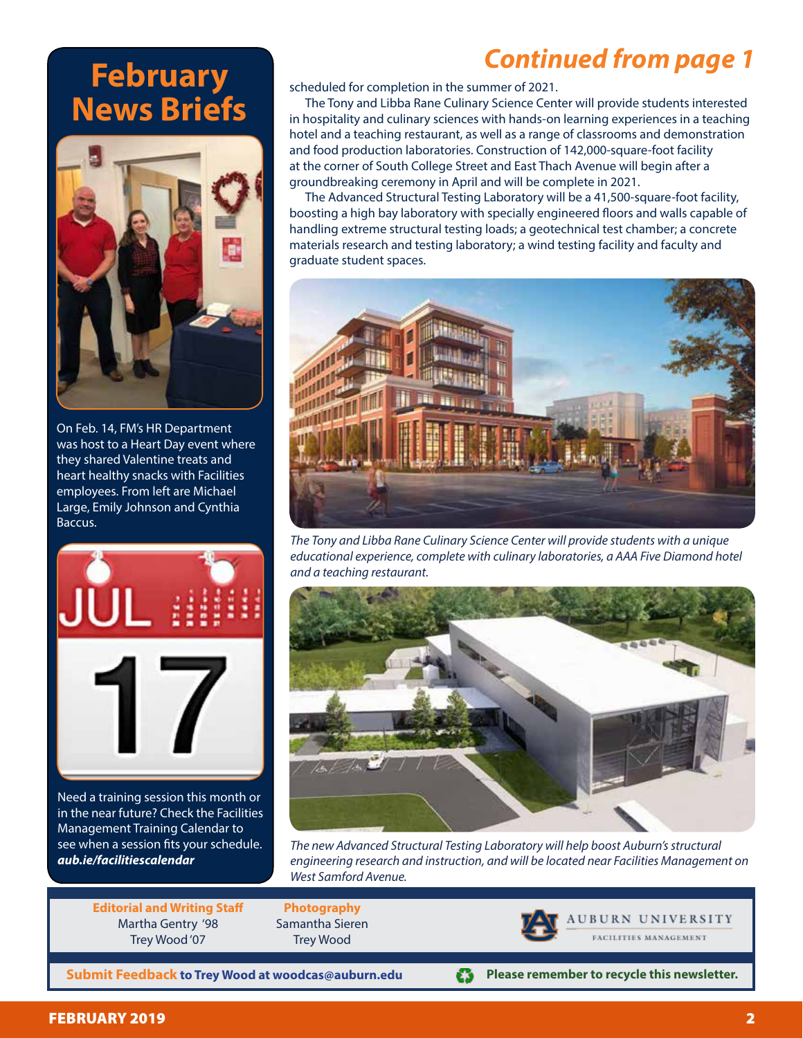# **February News Briefs**



On Feb. 14, FM's HR Department was host to a Heart Day event where they shared Valentine treats and heart healthy snacks with Facilities employees. From left are Michael Large, Emily Johnson and Cynthia Baccus.



Need a training session this month or in the near future? Check the Facilities Management Training Calendar to see when a session fits your schedule. *aub.ie/facilitiescalendar*

## *Continued from page 1*

scheduled for completion in the summer of 2021.

The Tony and Libba Rane Culinary Science Center will provide students interested in hospitality and culinary sciences with hands-on learning experiences in a teaching hotel and a teaching restaurant, as well as a range of classrooms and demonstration and food production laboratories. Construction of 142,000-square-foot facility at the corner of South College Street and East Thach Avenue will begin after a groundbreaking ceremony in April and will be complete in 2021.

The Advanced Structural Testing Laboratory will be a 41,500-square-foot facility, boosting a high bay laboratory with specially engineered floors and walls capable of handling extreme structural testing loads; a geotechnical test chamber; a concrete materials research and testing laboratory; a wind testing facility and faculty and graduate student spaces.



*The Tony and Libba Rane Culinary Science Center will provide students with a unique educational experience, complete with culinary laboratories, a AAA Five Diamond hotel and a teaching restaurant.*



*The new Advanced Structural Testing Laboratory will help boost Auburn's structural engineering research and instruction, and will be located near Facilities Management on West Samford Avenue.*

**Editorial and Writing Staff** Martha Gentry '98 Trey Wood '07

**Photography** Samantha Sieren Trey Wood



**Submit Feedback to Trey Wood at woodcas@auburn.edu**

**Please remember to recycle this newsletter.** £3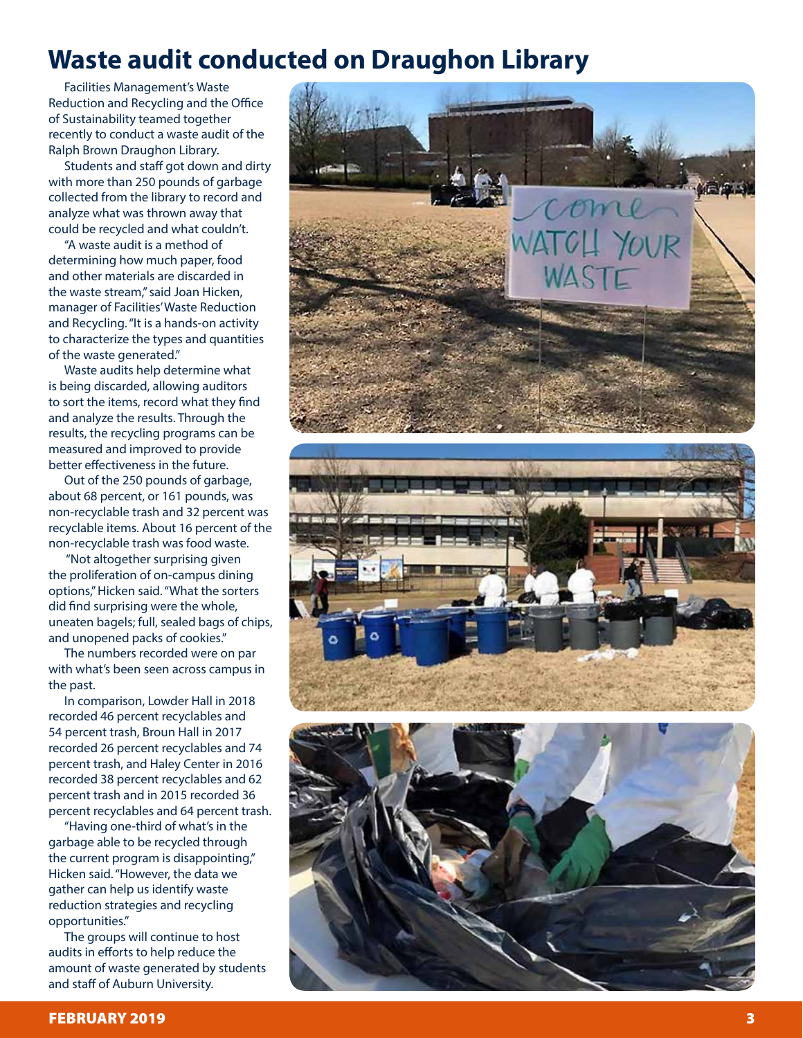## **Waste audit conducted on Draughon Library**

Facilities Management's Waste Reduction and Recycling and the Office of Sustainability teamed together recently to conduct a waste audit of the Ralph Brown Draughon Library.

Students and staff got down and dirty with more than 250 pounds of garbage collected from the library to record and analyze what was thrown away that could be recycled and what couldn't.

"A waste audit is a method of determining how much paper, food and other materials are discarded in the waste stream," said Joan Hicken, manager of Facilities' Waste Reduction and Recycling. "It is a hands-on activity to characterize the types and quantities of the waste generated."

Waste audits help determine what is being discarded, allowing auditors to sort the items, record what they find and analyze the results. Through the results, the recycling programs can be measured and improved to provide better effectiveness in the future.

Out of the 250 pounds of garbage, about 68 percent, or 161 pounds, was non-recyclable trash and 32 percent was recyclable items. About 16 percent of the non-recyclable trash was food waste.

 "Not altogether surprising given the proliferation of on-campus dining options," Hicken said. "What the sorters did find surprising were the whole, uneaten bagels; full, sealed bags of chips, and unopened packs of cookies."

The numbers recorded were on par with what's been seen across campus in the past.

In comparison, Lowder Hall in 2018 recorded 46 percent recyclables and 54 percent trash, Broun Hall in 2017 recorded 26 percent recyclables and 74 percent trash, and Haley Center in 2016 recorded 38 percent recyclables and 62 percent trash and in 2015 recorded 36 percent recyclables and 64 percent trash.

"Having one-third of what's in the garbage able to be recycled through the current program is disappointing," Hicken said. "However, the data we gather can help us identify waste reduction strategies and recycling opportunities."

The groups will continue to host audits in efforts to help reduce the amount of waste generated by students and staff of Auburn University.